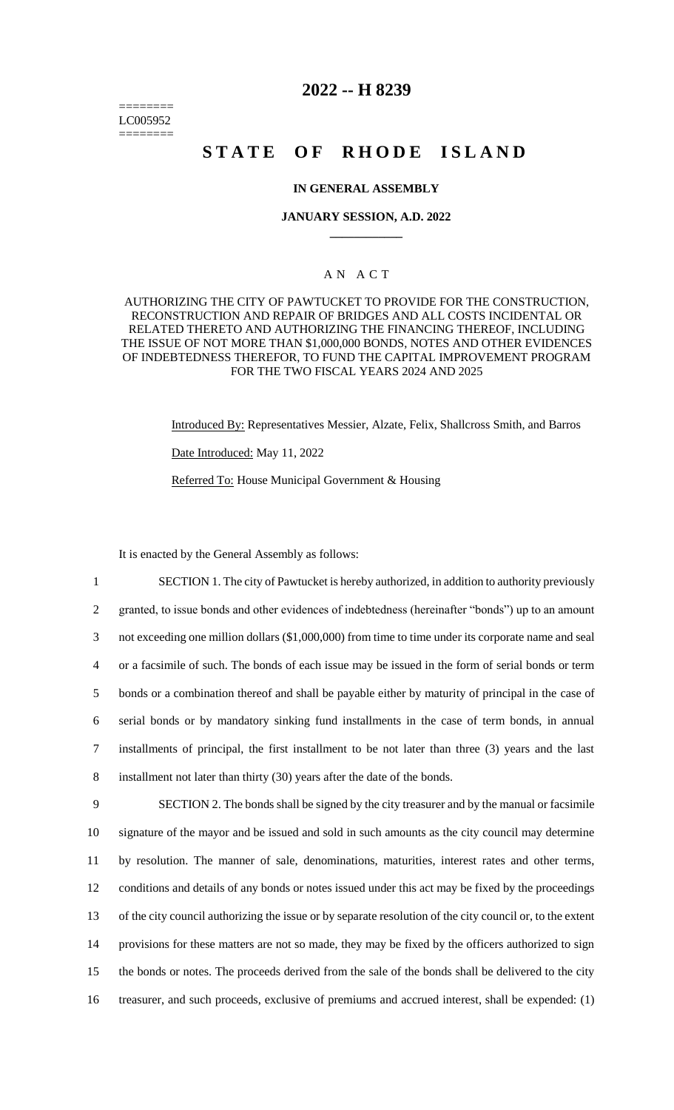======== LC005952 ========

## **2022 -- H 8239**

# **STATE OF RHODE ISLAND**

#### **IN GENERAL ASSEMBLY**

#### **JANUARY SESSION, A.D. 2022 \_\_\_\_\_\_\_\_\_\_\_\_**

## A N A C T

AUTHORIZING THE CITY OF PAWTUCKET TO PROVIDE FOR THE CONSTRUCTION, RECONSTRUCTION AND REPAIR OF BRIDGES AND ALL COSTS INCIDENTAL OR RELATED THERETO AND AUTHORIZING THE FINANCING THEREOF, INCLUDING THE ISSUE OF NOT MORE THAN \$1,000,000 BONDS, NOTES AND OTHER EVIDENCES OF INDEBTEDNESS THEREFOR, TO FUND THE CAPITAL IMPROVEMENT PROGRAM FOR THE TWO FISCAL YEARS 2024 AND 2025

> Introduced By: Representatives Messier, Alzate, Felix, Shallcross Smith, and Barros Date Introduced: May 11, 2022

Referred To: House Municipal Government & Housing

It is enacted by the General Assembly as follows:

 SECTION 1. The city of Pawtucket is hereby authorized, in addition to authority previously granted, to issue bonds and other evidences of indebtedness (hereinafter "bonds") up to an amount not exceeding one million dollars (\$1,000,000) from time to time under its corporate name and seal or a facsimile of such. The bonds of each issue may be issued in the form of serial bonds or term bonds or a combination thereof and shall be payable either by maturity of principal in the case of serial bonds or by mandatory sinking fund installments in the case of term bonds, in annual installments of principal, the first installment to be not later than three (3) years and the last installment not later than thirty (30) years after the date of the bonds. SECTION 2. The bonds shall be signed by the city treasurer and by the manual or facsimile

 signature of the mayor and be issued and sold in such amounts as the city council may determine by resolution. The manner of sale, denominations, maturities, interest rates and other terms, conditions and details of any bonds or notes issued under this act may be fixed by the proceedings of the city council authorizing the issue or by separate resolution of the city council or, to the extent provisions for these matters are not so made, they may be fixed by the officers authorized to sign the bonds or notes. The proceeds derived from the sale of the bonds shall be delivered to the city treasurer, and such proceeds, exclusive of premiums and accrued interest, shall be expended: (1)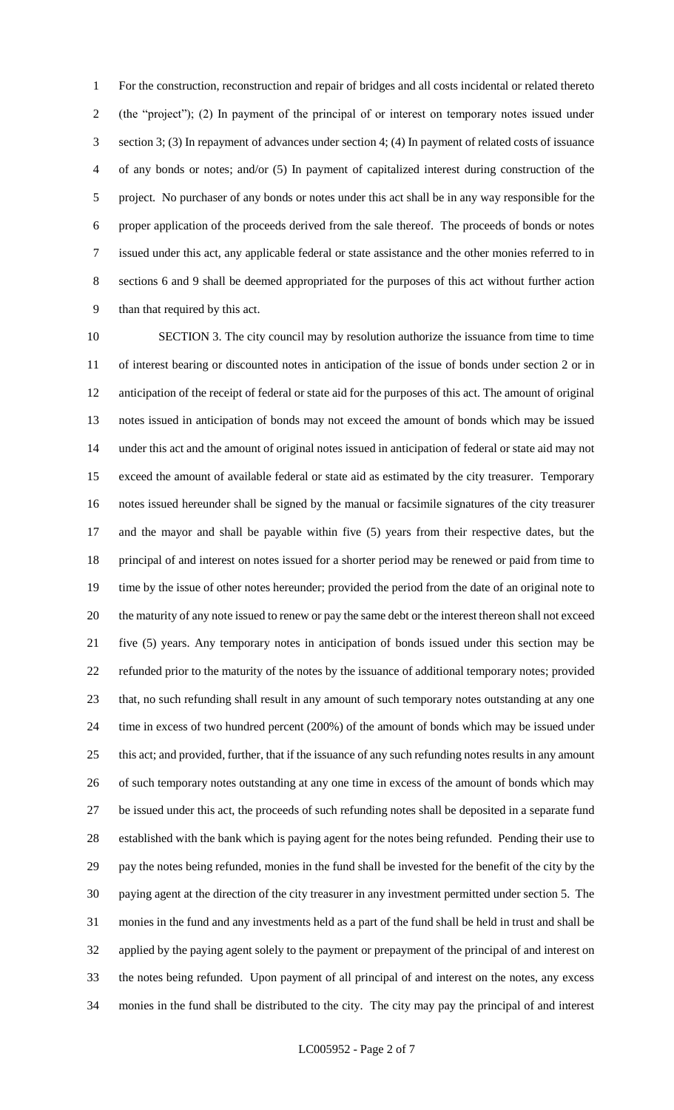For the construction, reconstruction and repair of bridges and all costs incidental or related thereto (the "project"); (2) In payment of the principal of or interest on temporary notes issued under section 3; (3) In repayment of advances under section 4; (4) In payment of related costs of issuance of any bonds or notes; and/or (5) In payment of capitalized interest during construction of the project. No purchaser of any bonds or notes under this act shall be in any way responsible for the proper application of the proceeds derived from the sale thereof. The proceeds of bonds or notes issued under this act, any applicable federal or state assistance and the other monies referred to in sections 6 and 9 shall be deemed appropriated for the purposes of this act without further action than that required by this act.

 SECTION 3. The city council may by resolution authorize the issuance from time to time of interest bearing or discounted notes in anticipation of the issue of bonds under section 2 or in anticipation of the receipt of federal or state aid for the purposes of this act. The amount of original notes issued in anticipation of bonds may not exceed the amount of bonds which may be issued under this act and the amount of original notes issued in anticipation of federal or state aid may not exceed the amount of available federal or state aid as estimated by the city treasurer. Temporary notes issued hereunder shall be signed by the manual or facsimile signatures of the city treasurer and the mayor and shall be payable within five (5) years from their respective dates, but the principal of and interest on notes issued for a shorter period may be renewed or paid from time to time by the issue of other notes hereunder; provided the period from the date of an original note to the maturity of any note issued to renew or pay the same debt or the interest thereon shall not exceed five (5) years. Any temporary notes in anticipation of bonds issued under this section may be refunded prior to the maturity of the notes by the issuance of additional temporary notes; provided that, no such refunding shall result in any amount of such temporary notes outstanding at any one time in excess of two hundred percent (200%) of the amount of bonds which may be issued under this act; and provided, further, that if the issuance of any such refunding notes results in any amount of such temporary notes outstanding at any one time in excess of the amount of bonds which may be issued under this act, the proceeds of such refunding notes shall be deposited in a separate fund established with the bank which is paying agent for the notes being refunded. Pending their use to pay the notes being refunded, monies in the fund shall be invested for the benefit of the city by the paying agent at the direction of the city treasurer in any investment permitted under section 5. The monies in the fund and any investments held as a part of the fund shall be held in trust and shall be applied by the paying agent solely to the payment or prepayment of the principal of and interest on the notes being refunded. Upon payment of all principal of and interest on the notes, any excess monies in the fund shall be distributed to the city. The city may pay the principal of and interest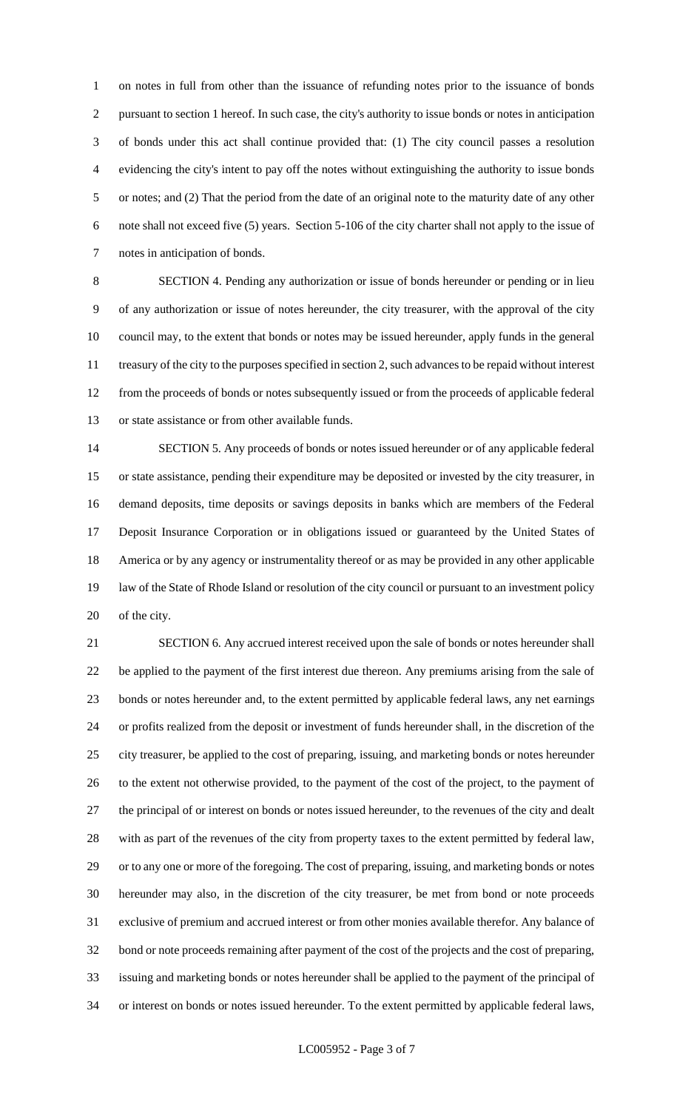on notes in full from other than the issuance of refunding notes prior to the issuance of bonds pursuant to section 1 hereof. In such case, the city's authority to issue bonds or notes in anticipation of bonds under this act shall continue provided that: (1) The city council passes a resolution evidencing the city's intent to pay off the notes without extinguishing the authority to issue bonds or notes; and (2) That the period from the date of an original note to the maturity date of any other note shall not exceed five (5) years. Section 5-106 of the city charter shall not apply to the issue of notes in anticipation of bonds.

 SECTION 4. Pending any authorization or issue of bonds hereunder or pending or in lieu of any authorization or issue of notes hereunder, the city treasurer, with the approval of the city council may, to the extent that bonds or notes may be issued hereunder, apply funds in the general treasury of the city to the purposes specified in section 2, such advances to be repaid without interest from the proceeds of bonds or notes subsequently issued or from the proceeds of applicable federal or state assistance or from other available funds.

 SECTION 5. Any proceeds of bonds or notes issued hereunder or of any applicable federal or state assistance, pending their expenditure may be deposited or invested by the city treasurer, in demand deposits, time deposits or savings deposits in banks which are members of the Federal Deposit Insurance Corporation or in obligations issued or guaranteed by the United States of America or by any agency or instrumentality thereof or as may be provided in any other applicable law of the State of Rhode Island or resolution of the city council or pursuant to an investment policy of the city.

 SECTION 6. Any accrued interest received upon the sale of bonds or notes hereunder shall be applied to the payment of the first interest due thereon. Any premiums arising from the sale of bonds or notes hereunder and, to the extent permitted by applicable federal laws, any net earnings or profits realized from the deposit or investment of funds hereunder shall, in the discretion of the city treasurer, be applied to the cost of preparing, issuing, and marketing bonds or notes hereunder to the extent not otherwise provided, to the payment of the cost of the project, to the payment of the principal of or interest on bonds or notes issued hereunder, to the revenues of the city and dealt with as part of the revenues of the city from property taxes to the extent permitted by federal law, or to any one or more of the foregoing. The cost of preparing, issuing, and marketing bonds or notes hereunder may also, in the discretion of the city treasurer, be met from bond or note proceeds exclusive of premium and accrued interest or from other monies available therefor. Any balance of bond or note proceeds remaining after payment of the cost of the projects and the cost of preparing, issuing and marketing bonds or notes hereunder shall be applied to the payment of the principal of or interest on bonds or notes issued hereunder. To the extent permitted by applicable federal laws,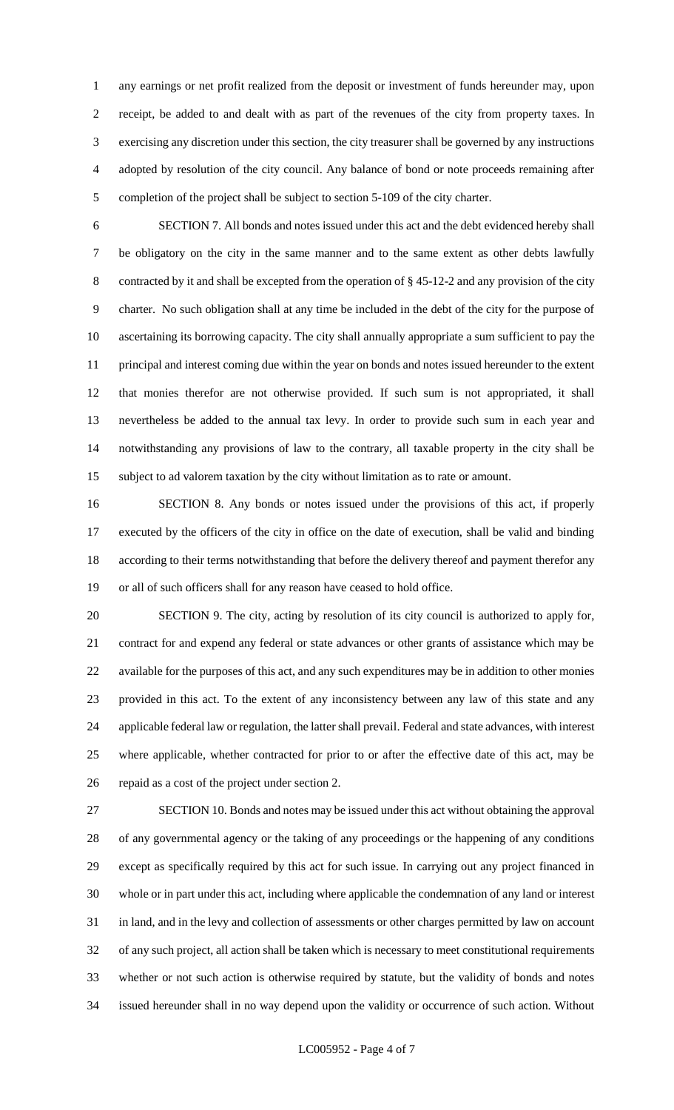any earnings or net profit realized from the deposit or investment of funds hereunder may, upon receipt, be added to and dealt with as part of the revenues of the city from property taxes. In exercising any discretion under this section, the city treasurer shall be governed by any instructions adopted by resolution of the city council. Any balance of bond or note proceeds remaining after completion of the project shall be subject to section 5-109 of the city charter.

 SECTION 7. All bonds and notes issued under this act and the debt evidenced hereby shall be obligatory on the city in the same manner and to the same extent as other debts lawfully contracted by it and shall be excepted from the operation of § 45-12-2 and any provision of the city charter. No such obligation shall at any time be included in the debt of the city for the purpose of ascertaining its borrowing capacity. The city shall annually appropriate a sum sufficient to pay the principal and interest coming due within the year on bonds and notes issued hereunder to the extent that monies therefor are not otherwise provided. If such sum is not appropriated, it shall nevertheless be added to the annual tax levy. In order to provide such sum in each year and notwithstanding any provisions of law to the contrary, all taxable property in the city shall be subject to ad valorem taxation by the city without limitation as to rate or amount.

 SECTION 8. Any bonds or notes issued under the provisions of this act, if properly executed by the officers of the city in office on the date of execution, shall be valid and binding according to their terms notwithstanding that before the delivery thereof and payment therefor any or all of such officers shall for any reason have ceased to hold office.

 SECTION 9. The city, acting by resolution of its city council is authorized to apply for, contract for and expend any federal or state advances or other grants of assistance which may be available for the purposes of this act, and any such expenditures may be in addition to other monies provided in this act. To the extent of any inconsistency between any law of this state and any applicable federal law or regulation, the latter shall prevail. Federal and state advances, with interest where applicable, whether contracted for prior to or after the effective date of this act, may be repaid as a cost of the project under section 2.

 SECTION 10. Bonds and notes may be issued under this act without obtaining the approval of any governmental agency or the taking of any proceedings or the happening of any conditions except as specifically required by this act for such issue. In carrying out any project financed in whole or in part under this act, including where applicable the condemnation of any land or interest in land, and in the levy and collection of assessments or other charges permitted by law on account of any such project, all action shall be taken which is necessary to meet constitutional requirements whether or not such action is otherwise required by statute, but the validity of bonds and notes issued hereunder shall in no way depend upon the validity or occurrence of such action. Without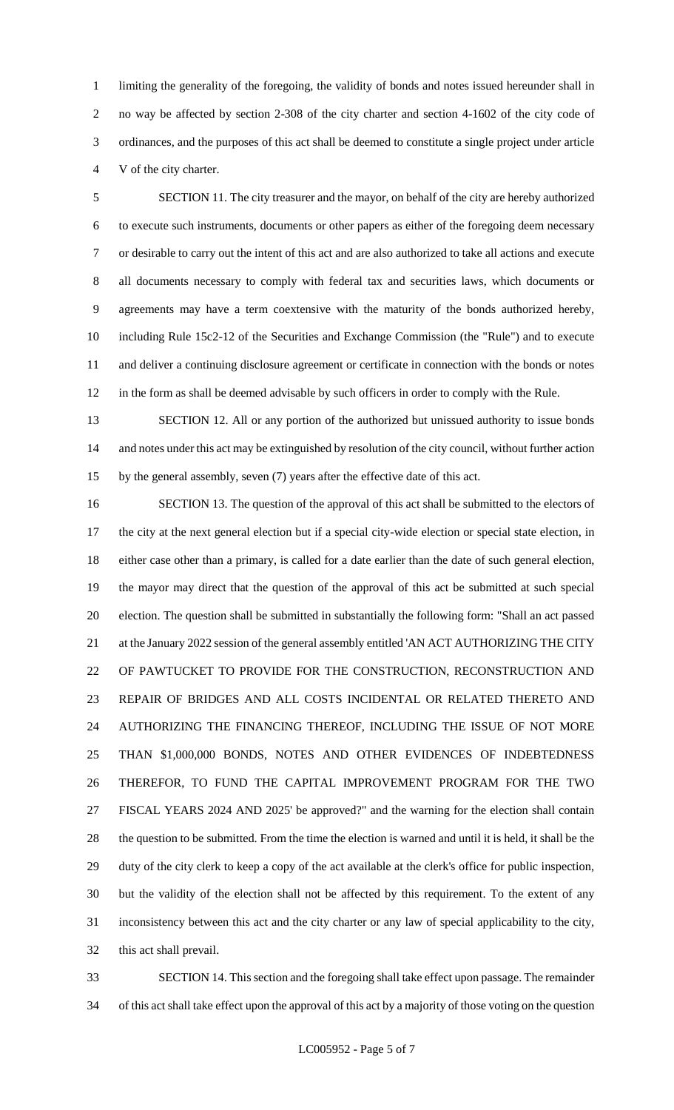limiting the generality of the foregoing, the validity of bonds and notes issued hereunder shall in no way be affected by section 2-308 of the city charter and section 4-1602 of the city code of ordinances, and the purposes of this act shall be deemed to constitute a single project under article V of the city charter.

 SECTION 11. The city treasurer and the mayor, on behalf of the city are hereby authorized to execute such instruments, documents or other papers as either of the foregoing deem necessary or desirable to carry out the intent of this act and are also authorized to take all actions and execute all documents necessary to comply with federal tax and securities laws, which documents or agreements may have a term coextensive with the maturity of the bonds authorized hereby, including Rule 15c2-12 of the Securities and Exchange Commission (the "Rule") and to execute and deliver a continuing disclosure agreement or certificate in connection with the bonds or notes in the form as shall be deemed advisable by such officers in order to comply with the Rule.

 SECTION 12. All or any portion of the authorized but unissued authority to issue bonds and notes under this act may be extinguished by resolution of the city council, without further action by the general assembly, seven (7) years after the effective date of this act.

 SECTION 13. The question of the approval of this act shall be submitted to the electors of the city at the next general election but if a special city-wide election or special state election, in either case other than a primary, is called for a date earlier than the date of such general election, the mayor may direct that the question of the approval of this act be submitted at such special election. The question shall be submitted in substantially the following form: "Shall an act passed 21 at the January 2022 session of the general assembly entitled 'AN ACT AUTHORIZING THE CITY OF PAWTUCKET TO PROVIDE FOR THE CONSTRUCTION, RECONSTRUCTION AND REPAIR OF BRIDGES AND ALL COSTS INCIDENTAL OR RELATED THERETO AND AUTHORIZING THE FINANCING THEREOF, INCLUDING THE ISSUE OF NOT MORE THAN \$1,000,000 BONDS, NOTES AND OTHER EVIDENCES OF INDEBTEDNESS THEREFOR, TO FUND THE CAPITAL IMPROVEMENT PROGRAM FOR THE TWO FISCAL YEARS 2024 AND 2025' be approved?" and the warning for the election shall contain the question to be submitted. From the time the election is warned and until it is held, it shall be the duty of the city clerk to keep a copy of the act available at the clerk's office for public inspection, but the validity of the election shall not be affected by this requirement. To the extent of any inconsistency between this act and the city charter or any law of special applicability to the city, this act shall prevail.

 SECTION 14. This section and the foregoing shall take effect upon passage. The remainder of this act shall take effect upon the approval of this act by a majority of those voting on the question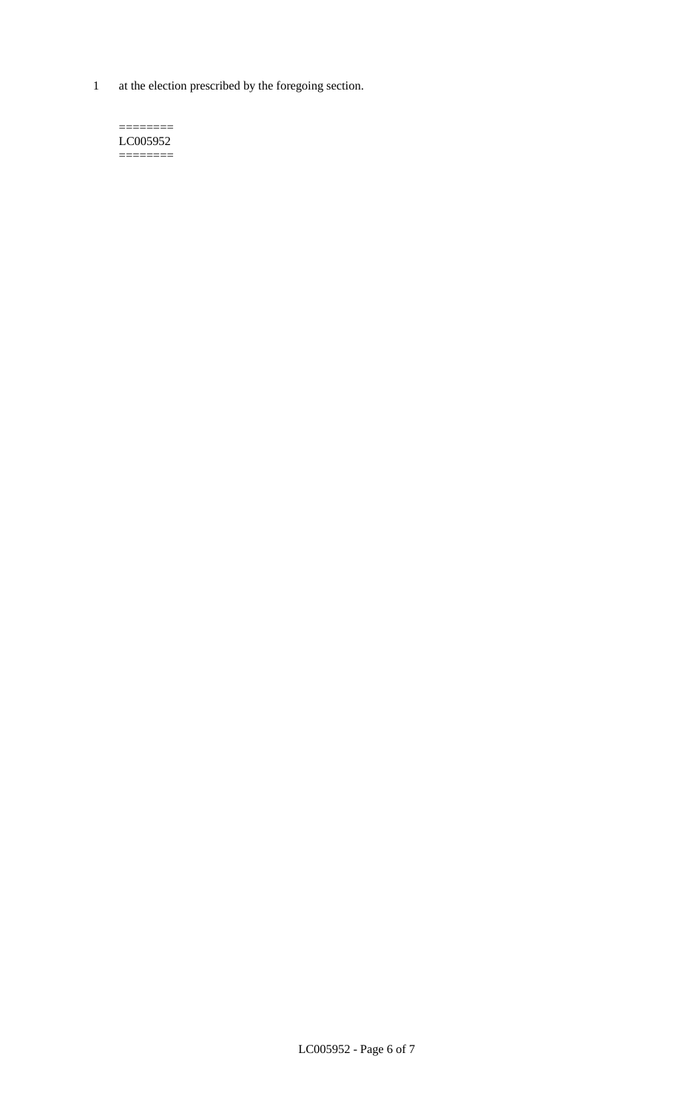1 at the election prescribed by the foregoing section.

 $=$ LC005952 ========